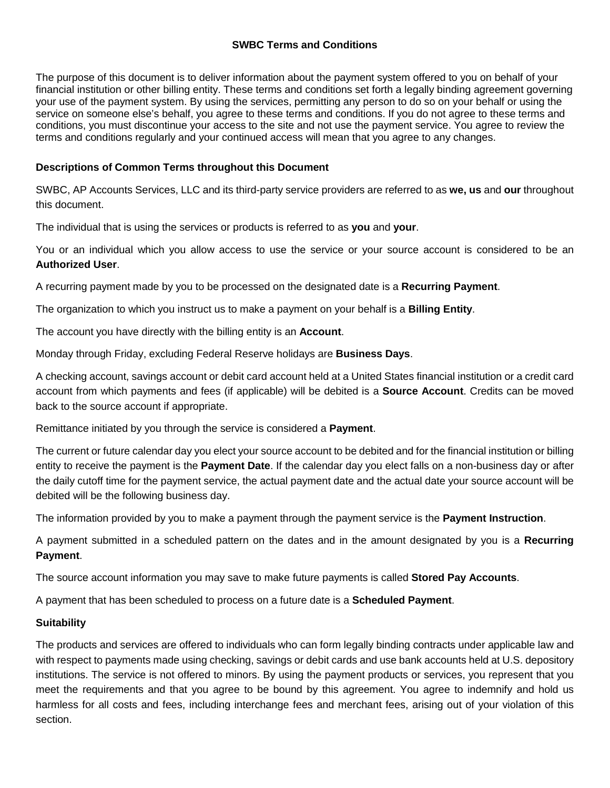The purpose of this document is to deliver information about the payment system offered to you on behalf of your financial institution or other billing entity. These terms and conditions set forth a legally binding agreement governing your use of the payment system. By using the services, permitting any person to do so on your behalf or using the service on someone else's behalf, you agree to these terms and conditions. If you do not agree to these terms and conditions, you must discontinue your access to the site and not use the payment service. You agree to review the terms and conditions regularly and your continued access will mean that you agree to any changes.

# **Descriptions of Common Terms throughout this Document**

SWBC, AP Accounts Services, LLC and its third-party service providers are referred to as **we, us** and **our** throughout this document.

The individual that is using the services or products is referred to as **you** and **your**.

You or an individual which you allow access to use the service or your source account is considered to be an **Authorized User**.

A recurring payment made by you to be processed on the designated date is a **Recurring Payment**.

The organization to which you instruct us to make a payment on your behalf is a **Billing Entity**.

The account you have directly with the billing entity is an **Account**.

Monday through Friday, excluding Federal Reserve holidays are **Business Days**.

 account from which payments and fees (if applicable) will be debited is a **Source Account**. Credits can be moved A checking account, savings account or debit card account held at a United States financial institution or a credit card back to the source account if appropriate.

Remittance initiated by you through the service is considered a **Payment**.

 The current or future calendar day you elect your source account to be debited and for the financial institution or billing the daily cutoff time for the payment service, the actual payment date and the actual date your source account will be entity to receive the payment is the **Payment Date**. If the calendar day you elect falls on a non-business day or after debited will be the following business day.

The information provided by you to make a payment through the payment service is the **Payment Instruction**.

A payment submitted in a scheduled pattern on the dates and in the amount designated by you is a **Recurring Payment**.

The source account information you may save to make future payments is called **Stored Pay Accounts**.

A payment that has been scheduled to process on a future date is a **Scheduled Payment**.

# **Suitability**

 with respect to payments made using checking, savings or debit cards and use bank accounts held at U.S. depository institutions. The service is not offered to minors. By using the payment products or services, you represent that you meet the requirements and that you agree to be bound by this agreement. You agree to indemnify and hold us harmless for all costs and fees, including interchange fees and merchant fees, arising out of your violation of this The products and services are offered to individuals who can form legally binding contracts under applicable law and section.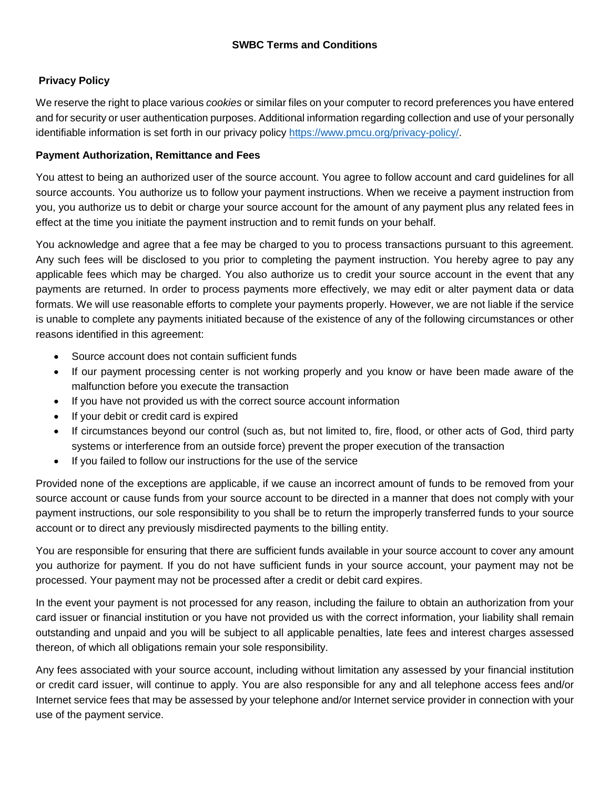# **Privacy Policy**

We reserve the right to place various *cookies* or similar files on your computer to record preferences you have entered and for security or user authentication purposes. Additional information regarding collection and use of your personally identifiable information is set forth in our privacy policy https://www.pmcu.org/privacy-policy/.

#### **Payment Authorization, Remittance and Fees**

 source accounts. You authorize us to follow your payment instructions. When we receive a payment instruction from you, you authorize us to debit or charge your source account for the amount of any payment plus any related fees in You attest to being an authorized user of the source account. You agree to follow account and card guidelines for all effect at the time you initiate the payment instruction and to remit funds on your behalf.

 Any such fees will be disclosed to you prior to completing the payment instruction. You hereby agree to pay any formats. We will use reasonable efforts to complete your payments properly. However, we are not liable if the service You acknowledge and agree that a fee may be charged to you to process transactions pursuant to this agreement. applicable fees which may be charged. You also authorize us to credit your source account in the event that any payments are returned. In order to process payments more effectively, we may edit or alter payment data or data is unable to complete any payments initiated because of the existence of any of the following circumstances or other reasons identified in this agreement:

- Source account does not contain sufficient funds
- • If our payment processing center is not working properly and you know or have been made aware of the malfunction before you execute the transaction
- If you have not provided us with the correct source account information
- If your debit or credit card is expired
- • If circumstances beyond our control (such as, but not limited to, fire, flood, or other acts of God, third party systems or interference from an outside force) prevent the proper execution of the transaction
- If you failed to follow our instructions for the use of the service

 source account or cause funds from your source account to be directed in a manner that does not comply with your payment instructions, our sole responsibility to you shall be to return the improperly transferred funds to your source Provided none of the exceptions are applicable, if we cause an incorrect amount of funds to be removed from your account or to direct any previously misdirected payments to the billing entity.

 You are responsible for ensuring that there are sufficient funds available in your source account to cover any amount you authorize for payment. If you do not have sufficient funds in your source account, your payment may not be processed. Your payment may not be processed after a credit or debit card expires.

 In the event your payment is not processed for any reason, including the failure to obtain an authorization from your card issuer or financial institution or you have not provided us with the correct information, your liability shall remain outstanding and unpaid and you will be subject to all applicable penalties, late fees and interest charges assessed thereon, of which all obligations remain your sole responsibility.

Any fees associated with your source account, including without limitation any assessed by your financial institution or credit card issuer, will continue to apply. You are also responsible for any and all telephone access fees and/or Internet service fees that may be assessed by your telephone and/or Internet service provider in connection with your use of the payment service.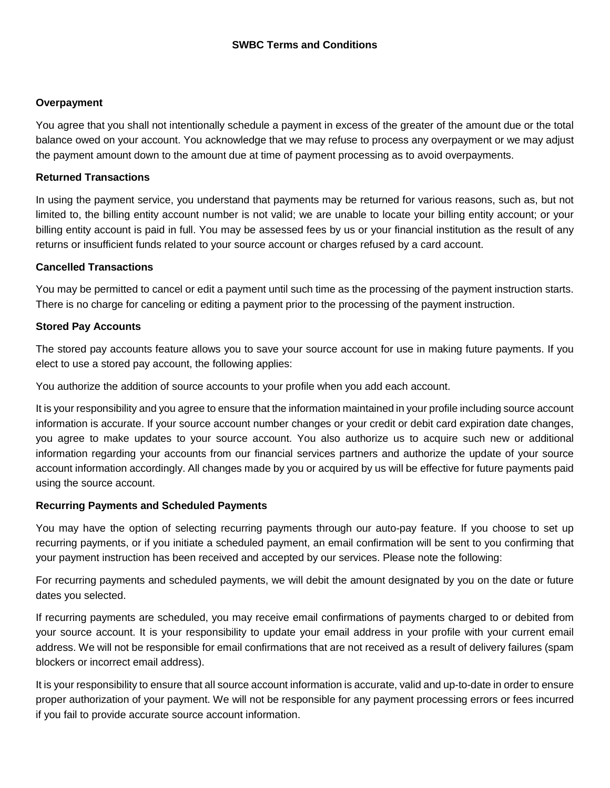#### **Overpayment**

You agree that you shall not intentionally schedule a payment in excess of the greater of the amount due or the total balance owed on your account. You acknowledge that we may refuse to process any overpayment or we may adjust the payment amount down to the amount due at time of payment processing as to avoid overpayments.

#### **Returned Transactions**

In using the payment service, you understand that payments may be returned for various reasons, such as, but not limited to, the billing entity account number is not valid; we are unable to locate your billing entity account; or your billing entity account is paid in full. You may be assessed fees by us or your financial institution as the result of any returns or insufficient funds related to your source account or charges refused by a card account.

#### **Cancelled Transactions**

 You may be permitted to cancel or edit a payment until such time as the processing of the payment instruction starts. There is no charge for canceling or editing a payment prior to the processing of the payment instruction.

#### **Stored Pay Accounts**

The stored pay accounts feature allows you to save your source account for use in making future payments. If you elect to use a stored pay account, the following applies:

You authorize the addition of source accounts to your profile when you add each account.

 information is accurate. If your source account number changes or your credit or debit card expiration date changes, information regarding your accounts from our financial services partners and authorize the update of your source using the source account. It is your responsibility and you agree to ensure that the information maintained in your profile including source account you agree to make updates to your source account. You also authorize us to acquire such new or additional account information accordingly. All changes made by you or acquired by us will be effective for future payments paid

# **Recurring Payments and Scheduled Payments**

 You may have the option of selecting recurring payments through our auto-pay feature. If you choose to set up recurring payments, or if you initiate a scheduled payment, an email confirmation will be sent to you confirming that your payment instruction has been received and accepted by our services. Please note the following:

For recurring payments and scheduled payments, we will debit the amount designated by you on the date or future dates you selected.

 If recurring payments are scheduled, you may receive email confirmations of payments charged to or debited from address. We will not be responsible for email confirmations that are not received as a result of delivery failures (spam your source account. It is your responsibility to update your email address in your profile with your current email blockers or incorrect email address).

 It is your responsibility to ensure that all source account information is accurate, valid and up-to-date in order to ensure proper authorization of your payment. We will not be responsible for any payment processing errors or fees incurred if you fail to provide accurate source account information.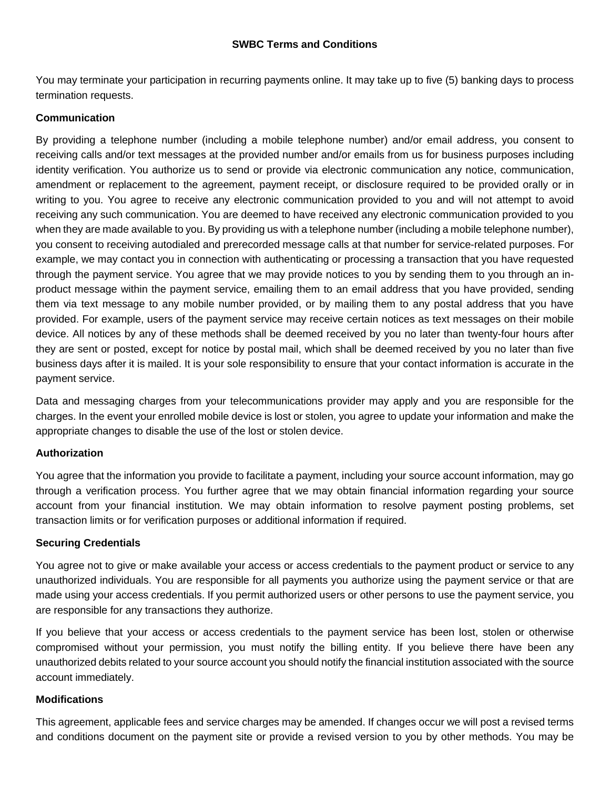You may terminate your participation in recurring payments online. It may take up to five (5) banking days to process termination requests.

# **Communication**

 By providing a telephone number (including a mobile telephone number) and/or email address, you consent to example, we may contact you in connection with authenticating or processing a transaction that you have requested through the payment service. You agree that we may provide notices to you by sending them to you through an in- device. All notices by any of these methods shall be deemed received by you no later than twenty-four hours after they are sent or posted, except for notice by postal mail, which shall be deemed received by you no later than five business days after it is mailed. It is your sole responsibility to ensure that your contact information is accurate in the receiving calls and/or text messages at the provided number and/or emails from us for business purposes including identity verification. You authorize us to send or provide via electronic communication any notice, communication, amendment or replacement to the agreement, payment receipt, or disclosure required to be provided orally or in writing to you. You agree to receive any electronic communication provided to you and will not attempt to avoid receiving any such communication. You are deemed to have received any electronic communication provided to you when they are made available to you. By providing us with a telephone number (including a mobile telephone number), you consent to receiving autodialed and prerecorded message calls at that number for service-related purposes. For product message within the payment service, emailing them to an email address that you have provided, sending them via text message to any mobile number provided, or by mailing them to any postal address that you have provided. For example, users of the payment service may receive certain notices as text messages on their mobile payment service.

Data and messaging charges from your telecommunications provider may apply and you are responsible for the charges. In the event your enrolled mobile device is lost or stolen, you agree to update your information and make the appropriate changes to disable the use of the lost or stolen device.

# **Authorization**

 through a verification process. You further agree that we may obtain financial information regarding your source account from your financial institution. We may obtain information to resolve payment posting problems, set You agree that the information you provide to facilitate a payment, including your source account information, may go transaction limits or for verification purposes or additional information if required.

# **Securing Credentials**

 You agree not to give or make available your access or access credentials to the payment product or service to any unauthorized individuals. You are responsible for all payments you authorize using the payment service or that are made using your access credentials. If you permit authorized users or other persons to use the payment service, you are responsible for any transactions they authorize.

 compromised without your permission, you must notify the billing entity. If you believe there have been any If you believe that your access or access credentials to the payment service has been lost, stolen or otherwise unauthorized debits related to your source account you should notify the financial institution associated with the source account immediately.

# **Modifications**

 and conditions document on the payment site or provide a revised version to you by other methods. You may be This agreement, applicable fees and service charges may be amended. If changes occur we will post a revised terms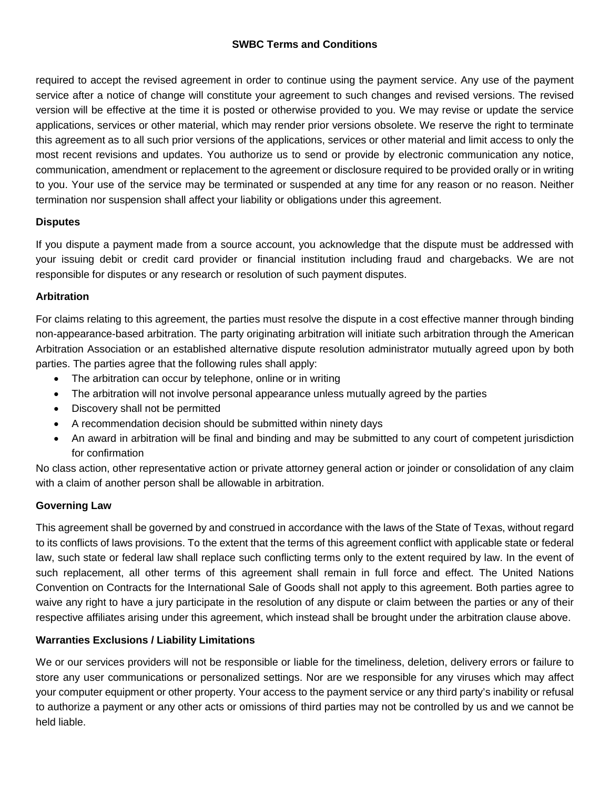version will be effective at the time it is posted or otherwise provided to you. We may revise or update the service applications, services or other material, which may render prior versions obsolete. We reserve the right to terminate most recent revisions and updates. You authorize us to send or provide by electronic communication any notice, termination nor suspension shall affect your liability or obligations under this agreement. required to accept the revised agreement in order to continue using the payment service. Any use of the payment service after a notice of change will constitute your agreement to such changes and revised versions. The revised this agreement as to all such prior versions of the applications, services or other material and limit access to only the communication, amendment or replacement to the agreement or disclosure required to be provided orally or in writing to you. Your use of the service may be terminated or suspended at any time for any reason or no reason. Neither

# **Disputes**

 your issuing debit or credit card provider or financial institution including fraud and chargebacks. We are not If you dispute a payment made from a source account, you acknowledge that the dispute must be addressed with responsible for disputes or any research or resolution of such payment disputes.

# **Arbitration**

For claims relating to this agreement, the parties must resolve the dispute in a cost effective manner through binding non-appearance-based arbitration. The party originating arbitration will initiate such arbitration through the American Arbitration Association or an established alternative dispute resolution administrator mutually agreed upon by both parties. The parties agree that the following rules shall apply:

- The arbitration can occur by telephone, online or in writing
- The arbitration will not involve personal appearance unless mutually agreed by the parties
- Discovery shall not be permitted
- A recommendation decision should be submitted within ninety days
- An award in arbitration will be final and binding and may be submitted to any court of competent jurisdiction for confirmation

No class action, other representative action or private attorney general action or joinder or consolidation of any claim with a claim of another person shall be allowable in arbitration.

# **Governing Law**

 such replacement, all other terms of this agreement shall remain in full force and effect. The United Nations Convention on Contracts for the International Sale of Goods shall not apply to this agreement. Both parties agree to waive any right to have a jury participate in the resolution of any dispute or claim between the parties or any of their This agreement shall be governed by and construed in accordance with the laws of the State of Texas, without regard to its conflicts of laws provisions. To the extent that the terms of this agreement conflict with applicable state or federal law, such state or federal law shall replace such conflicting terms only to the extent required by law. In the event of respective affiliates arising under this agreement, which instead shall be brought under the arbitration clause above.

# **Warranties Exclusions / Liability Limitations**

 We or our services providers will not be responsible or liable for the timeliness, deletion, delivery errors or failure to store any user communications or personalized settings. Nor are we responsible for any viruses which may affect your computer equipment or other property. Your access to the payment service or any third party's inability or refusal to authorize a payment or any other acts or omissions of third parties may not be controlled by us and we cannot be held liable.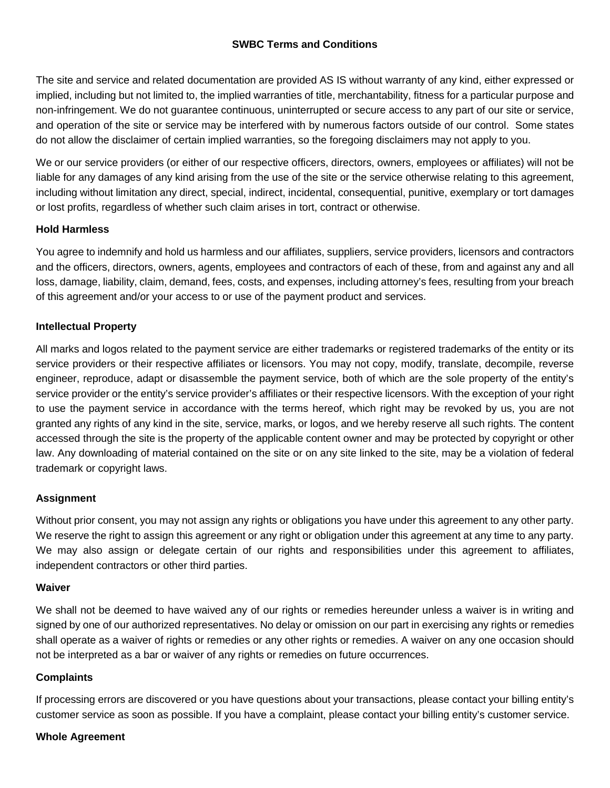The site and service and related documentation are provided AS IS without warranty of any kind, either expressed or do not allow the disclaimer of certain implied warranties, so the foregoing disclaimers may not apply to you. implied, including but not limited to, the implied warranties of title, merchantability, fitness for a particular purpose and non-infringement. We do not guarantee continuous, uninterrupted or secure access to any part of our site or service, and operation of the site or service may be interfered with by numerous factors outside of our control. Some states

 We or our service providers (or either of our respective officers, directors, owners, employees or affiliates) will not be including without limitation any direct, special, indirect, incidental, consequential, punitive, exemplary or tort damages liable for any damages of any kind arising from the use of the site or the service otherwise relating to this agreement, or lost profits, regardless of whether such claim arises in tort, contract or otherwise.

#### **Hold Harmless**

 and the officers, directors, owners, agents, employees and contractors of each of these, from and against any and all You agree to indemnify and hold us harmless and our affiliates, suppliers, service providers, licensors and contractors loss, damage, liability, claim, demand, fees, costs, and expenses, including attorney's fees, resulting from your breach of this agreement and/or your access to or use of the payment product and services.

#### **Intellectual Property**

 service providers or their respective affiliates or licensors. You may not copy, modify, translate, decompile, reverse engineer, reproduce, adapt or disassemble the payment service, both of which are the sole property of the entity's granted any rights of any kind in the site, service, marks, or logos, and we hereby reserve all such rights. The content law. Any downloading of material contained on the site or on any site linked to the site, may be a violation of federal All marks and logos related to the payment service are either trademarks or registered trademarks of the entity or its service provider or the entity's service provider's affiliates or their respective licensors. With the exception of your right to use the payment service in accordance with the terms hereof, which right may be revoked by us, you are not accessed through the site is the property of the applicable content owner and may be protected by copyright or other trademark or copyright laws.

#### **Assignment**

Without prior consent, you may not assign any rights or obligations you have under this agreement to any other party. We reserve the right to assign this agreement or any right or obligation under this agreement at any time to any party. We may also assign or delegate certain of our rights and responsibilities under this agreement to affiliates, independent contractors or other third parties.

#### **Waiver**

We shall not be deemed to have waived any of our rights or remedies hereunder unless a waiver is in writing and signed by one of our authorized representatives. No delay or omission on our part in exercising any rights or remedies shall operate as a waiver of rights or remedies or any other rights or remedies. A waiver on any one occasion should not be interpreted as a bar or waiver of any rights or remedies on future occurrences.

#### **Complaints**

 If processing errors are discovered or you have questions about your transactions, please contact your billing entity's customer service as soon as possible. If you have a complaint, please contact your billing entity's customer service.

#### **Whole Agreement**